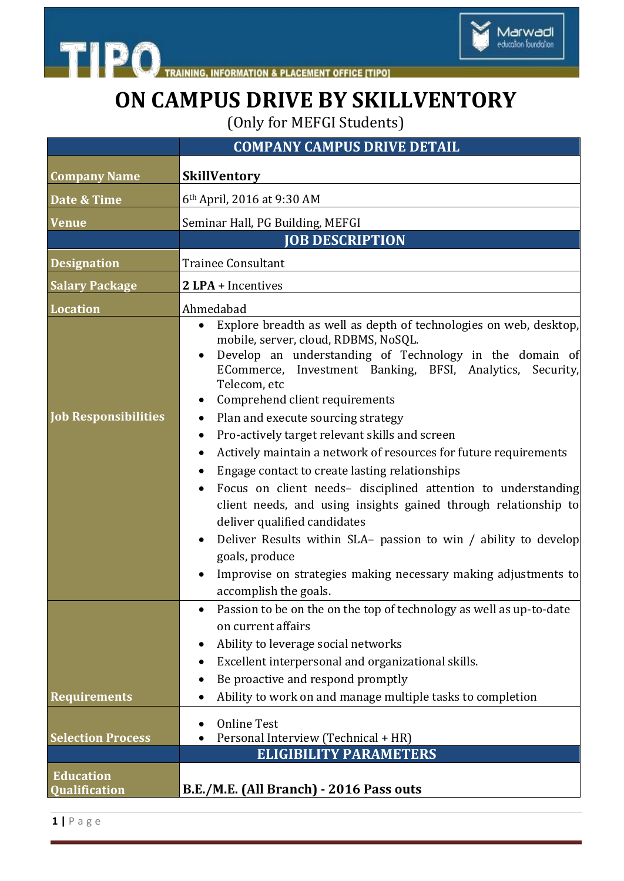

Marwadi<br>education foundation

(Only for MEFGI Students)

|                                          | <b>COMPANY CAMPUS DRIVE DETAIL</b>                                                                                                                                                                                                                                                                                                                                                                                                                                                                                                                                                                                                                                                                                                                                                                                                                                    |
|------------------------------------------|-----------------------------------------------------------------------------------------------------------------------------------------------------------------------------------------------------------------------------------------------------------------------------------------------------------------------------------------------------------------------------------------------------------------------------------------------------------------------------------------------------------------------------------------------------------------------------------------------------------------------------------------------------------------------------------------------------------------------------------------------------------------------------------------------------------------------------------------------------------------------|
| <b>Company Name</b>                      | <b>SkillVentory</b>                                                                                                                                                                                                                                                                                                                                                                                                                                                                                                                                                                                                                                                                                                                                                                                                                                                   |
| Date & Time                              | 6 <sup>th</sup> April, 2016 at 9:30 AM                                                                                                                                                                                                                                                                                                                                                                                                                                                                                                                                                                                                                                                                                                                                                                                                                                |
| <b>Venue</b>                             | Seminar Hall, PG Building, MEFGI                                                                                                                                                                                                                                                                                                                                                                                                                                                                                                                                                                                                                                                                                                                                                                                                                                      |
|                                          | <b>JOB DESCRIPTION</b>                                                                                                                                                                                                                                                                                                                                                                                                                                                                                                                                                                                                                                                                                                                                                                                                                                                |
| <b>Designation</b>                       | <b>Trainee Consultant</b>                                                                                                                                                                                                                                                                                                                                                                                                                                                                                                                                                                                                                                                                                                                                                                                                                                             |
| <b>Salary Package</b>                    | 2 LPA + Incentives                                                                                                                                                                                                                                                                                                                                                                                                                                                                                                                                                                                                                                                                                                                                                                                                                                                    |
| <b>Location</b>                          | Ahmedabad                                                                                                                                                                                                                                                                                                                                                                                                                                                                                                                                                                                                                                                                                                                                                                                                                                                             |
| <b>Job Responsibilities</b>              | Explore breadth as well as depth of technologies on web, desktop,<br>mobile, server, cloud, RDBMS, NoSQL.<br>Develop an understanding of Technology in the domain of<br>ECommerce, Investment Banking, BFSI, Analytics,<br>Security,<br>Telecom, etc<br>Comprehend client requirements<br>Plan and execute sourcing strategy<br>Pro-actively target relevant skills and screen<br>$\bullet$<br>Actively maintain a network of resources for future requirements<br>Engage contact to create lasting relationships<br>Focus on client needs- disciplined attention to understanding<br>client needs, and using insights gained through relationship to<br>deliver qualified candidates<br>Deliver Results within SLA- passion to win / ability to develop<br>goals, produce<br>Improvise on strategies making necessary making adjustments to<br>accomplish the goals. |
|                                          | Passion to be on the on the top of technology as well as up-to-date<br>on current affairs<br>Ability to leverage social networks<br>Excellent interpersonal and organizational skills.<br>$\bullet$<br>Be proactive and respond promptly                                                                                                                                                                                                                                                                                                                                                                                                                                                                                                                                                                                                                              |
| <b>Requirements</b>                      | Ability to work on and manage multiple tasks to completion                                                                                                                                                                                                                                                                                                                                                                                                                                                                                                                                                                                                                                                                                                                                                                                                            |
| <b>Selection Process</b>                 | <b>Online Test</b><br>Personal Interview (Technical + HR)                                                                                                                                                                                                                                                                                                                                                                                                                                                                                                                                                                                                                                                                                                                                                                                                             |
|                                          | <b>ELIGIBILITY PARAMETERS</b>                                                                                                                                                                                                                                                                                                                                                                                                                                                                                                                                                                                                                                                                                                                                                                                                                                         |
| <b>Education</b><br><b>Qualification</b> | B.E./M.E. (All Branch) - 2016 Pass outs                                                                                                                                                                                                                                                                                                                                                                                                                                                                                                                                                                                                                                                                                                                                                                                                                               |